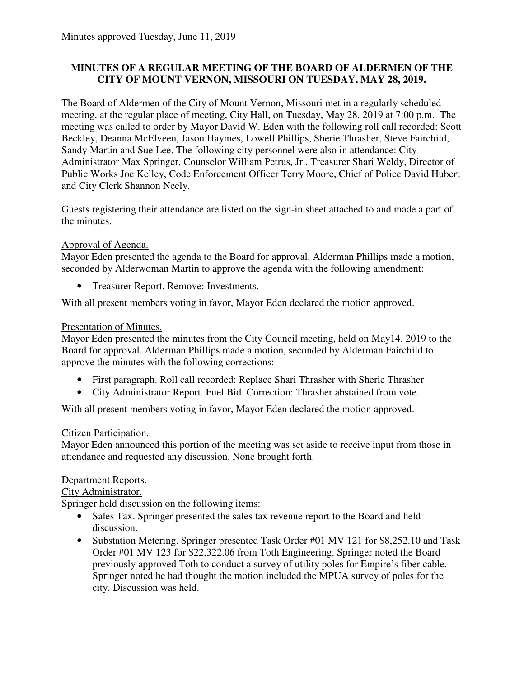# **MINUTES OF A REGULAR MEETING OF THE BOARD OF ALDERMEN OF THE CITY OF MOUNT VERNON, MISSOURI ON TUESDAY, MAY 28, 2019.**

The Board of Aldermen of the City of Mount Vernon, Missouri met in a regularly scheduled meeting, at the regular place of meeting, City Hall, on Tuesday, May 28, 2019 at 7:00 p.m. The meeting was called to order by Mayor David W. Eden with the following roll call recorded: Scott Beckley, Deanna McElveen, Jason Haymes, Lowell Phillips, Sherie Thrasher, Steve Fairchild, Sandy Martin and Sue Lee. The following city personnel were also in attendance: City Administrator Max Springer, Counselor William Petrus, Jr., Treasurer Shari Weldy, Director of Public Works Joe Kelley, Code Enforcement Officer Terry Moore, Chief of Police David Hubert and City Clerk Shannon Neely.

Guests registering their attendance are listed on the sign-in sheet attached to and made a part of the minutes.

# Approval of Agenda.

Mayor Eden presented the agenda to the Board for approval. Alderman Phillips made a motion, seconded by Alderwoman Martin to approve the agenda with the following amendment:

• Treasurer Report. Remove: Investments.

With all present members voting in favor, Mayor Eden declared the motion approved.

# Presentation of Minutes.

Mayor Eden presented the minutes from the City Council meeting, held on May14, 2019 to the Board for approval. Alderman Phillips made a motion, seconded by Alderman Fairchild to approve the minutes with the following corrections:

- First paragraph. Roll call recorded: Replace Shari Thrasher with Sherie Thrasher
- City Administrator Report. Fuel Bid. Correction: Thrasher abstained from vote.

With all present members voting in favor, Mayor Eden declared the motion approved.

# Citizen Participation.

Mayor Eden announced this portion of the meeting was set aside to receive input from those in attendance and requested any discussion. None brought forth.

# Department Reports.

City Administrator.

Springer held discussion on the following items:

- Sales Tax. Springer presented the sales tax revenue report to the Board and held discussion.
- Substation Metering. Springer presented Task Order #01 MV 121 for \$8,252.10 and Task Order #01 MV 123 for \$22,322.06 from Toth Engineering. Springer noted the Board previously approved Toth to conduct a survey of utility poles for Empire's fiber cable. Springer noted he had thought the motion included the MPUA survey of poles for the city. Discussion was held.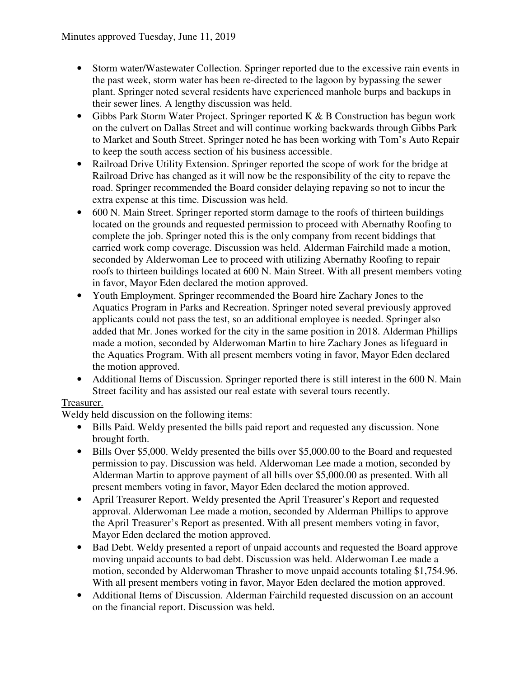- Storm water/Wastewater Collection. Springer reported due to the excessive rain events in the past week, storm water has been re-directed to the lagoon by bypassing the sewer plant. Springer noted several residents have experienced manhole burps and backups in their sewer lines. A lengthy discussion was held.
- Gibbs Park Storm Water Project. Springer reported K & B Construction has begun work on the culvert on Dallas Street and will continue working backwards through Gibbs Park to Market and South Street. Springer noted he has been working with Tom's Auto Repair to keep the south access section of his business accessible.
- Railroad Drive Utility Extension. Springer reported the scope of work for the bridge at Railroad Drive has changed as it will now be the responsibility of the city to repave the road. Springer recommended the Board consider delaying repaving so not to incur the extra expense at this time. Discussion was held.
- 600 N. Main Street. Springer reported storm damage to the roofs of thirteen buildings located on the grounds and requested permission to proceed with Abernathy Roofing to complete the job. Springer noted this is the only company from recent biddings that carried work comp coverage. Discussion was held. Alderman Fairchild made a motion, seconded by Alderwoman Lee to proceed with utilizing Abernathy Roofing to repair roofs to thirteen buildings located at 600 N. Main Street. With all present members voting in favor, Mayor Eden declared the motion approved.
- Youth Employment. Springer recommended the Board hire Zachary Jones to the Aquatics Program in Parks and Recreation. Springer noted several previously approved applicants could not pass the test, so an additional employee is needed. Springer also added that Mr. Jones worked for the city in the same position in 2018. Alderman Phillips made a motion, seconded by Alderwoman Martin to hire Zachary Jones as lifeguard in the Aquatics Program. With all present members voting in favor, Mayor Eden declared the motion approved.
- Additional Items of Discussion. Springer reported there is still interest in the 600 N. Main Street facility and has assisted our real estate with several tours recently.

# Treasurer.

Weldy held discussion on the following items:

- Bills Paid. Weldy presented the bills paid report and requested any discussion. None brought forth.
- Bills Over \$5,000. Weldy presented the bills over \$5,000.00 to the Board and requested permission to pay. Discussion was held. Alderwoman Lee made a motion, seconded by Alderman Martin to approve payment of all bills over \$5,000.00 as presented. With all present members voting in favor, Mayor Eden declared the motion approved.
- April Treasurer Report. Weldy presented the April Treasurer's Report and requested approval. Alderwoman Lee made a motion, seconded by Alderman Phillips to approve the April Treasurer's Report as presented. With all present members voting in favor, Mayor Eden declared the motion approved.
- Bad Debt. Weldy presented a report of unpaid accounts and requested the Board approve moving unpaid accounts to bad debt. Discussion was held. Alderwoman Lee made a motion, seconded by Alderwoman Thrasher to move unpaid accounts totaling \$1,754.96. With all present members voting in favor, Mayor Eden declared the motion approved.
- Additional Items of Discussion. Alderman Fairchild requested discussion on an account on the financial report. Discussion was held.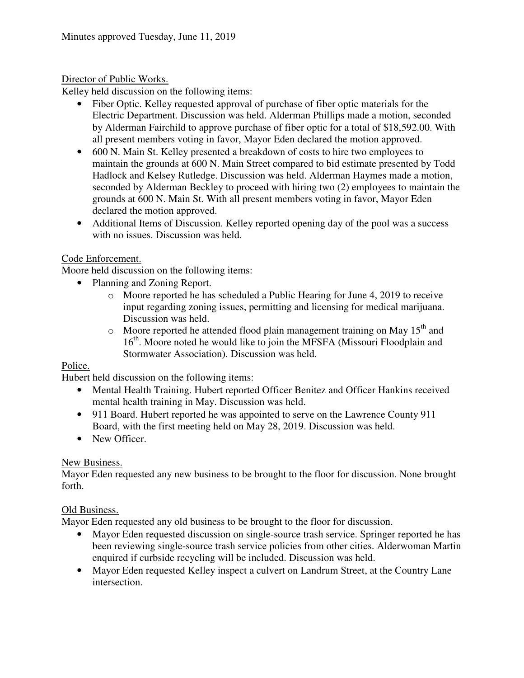# Director of Public Works.

Kelley held discussion on the following items:

- Fiber Optic. Kelley requested approval of purchase of fiber optic materials for the Electric Department. Discussion was held. Alderman Phillips made a motion, seconded by Alderman Fairchild to approve purchase of fiber optic for a total of \$18,592.00. With all present members voting in favor, Mayor Eden declared the motion approved.
- 600 N. Main St. Kelley presented a breakdown of costs to hire two employees to maintain the grounds at 600 N. Main Street compared to bid estimate presented by Todd Hadlock and Kelsey Rutledge. Discussion was held. Alderman Haymes made a motion, seconded by Alderman Beckley to proceed with hiring two (2) employees to maintain the grounds at 600 N. Main St. With all present members voting in favor, Mayor Eden declared the motion approved.
- Additional Items of Discussion. Kelley reported opening day of the pool was a success with no issues. Discussion was held.

# Code Enforcement.

Moore held discussion on the following items:

- Planning and Zoning Report.
	- o Moore reported he has scheduled a Public Hearing for June 4, 2019 to receive input regarding zoning issues, permitting and licensing for medical marijuana. Discussion was held.
	- $\circ$  Moore reported he attended flood plain management training on May 15<sup>th</sup> and 16<sup>th</sup>. Moore noted he would like to join the MFSFA (Missouri Floodplain and Stormwater Association). Discussion was held.

# Police.

Hubert held discussion on the following items:

- Mental Health Training. Hubert reported Officer Benitez and Officer Hankins received mental health training in May. Discussion was held.
- 911 Board. Hubert reported he was appointed to serve on the Lawrence County 911 Board, with the first meeting held on May 28, 2019. Discussion was held.
- New Officer.

# New Business.

Mayor Eden requested any new business to be brought to the floor for discussion. None brought forth.

# Old Business.

Mayor Eden requested any old business to be brought to the floor for discussion.

- Mayor Eden requested discussion on single-source trash service. Springer reported he has been reviewing single-source trash service policies from other cities. Alderwoman Martin enquired if curbside recycling will be included. Discussion was held.
- Mayor Eden requested Kelley inspect a culvert on Landrum Street, at the Country Lane intersection.